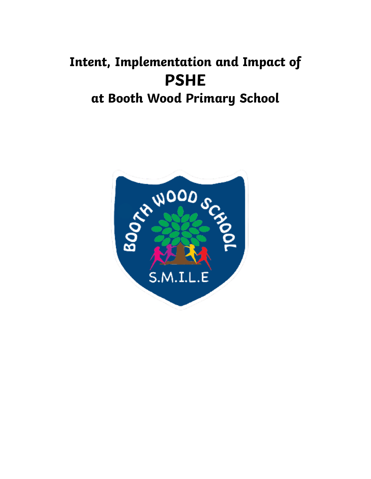# **Intent, Implementation and Impact of PSHE at Booth Wood Primary School**